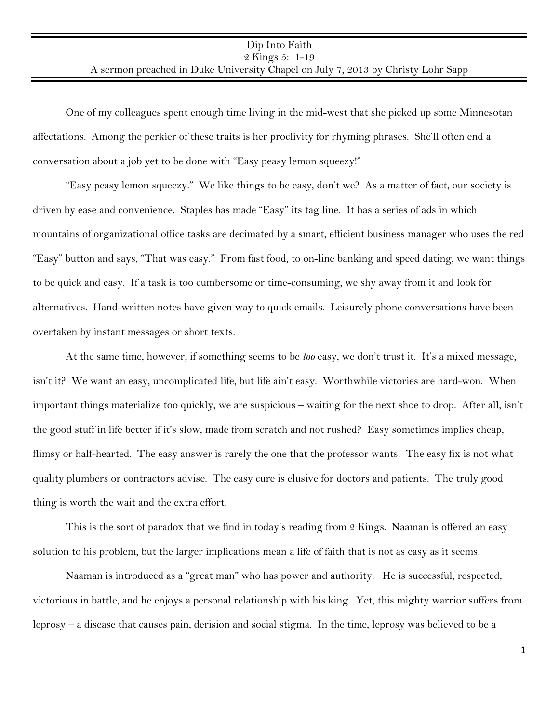One of my colleagues spent enough time living in the mid-west that she picked up some Minnesotan affectations. Among the perkier of these traits is her proclivity for rhyming phrases. She'll often end a conversation about a job yet to be done with "Easy peasy lemon squeezy!"

"Easy peasy lemon squeezy." We like things to be easy, don't we? As a matter of fact, our society is driven by ease and convenience. Staples has made "Easy" its tag line. It has a series of ads in which mountains of organizational office tasks are decimated by a smart, efficient business manager who uses the red "Easy" button and says, "That was easy." From fast food, to on-line banking and speed dating, we want things to be quick and easy. If a task is too cumbersome or time-consuming, we shy away from it and look for alternatives. Hand-written notes have given way to quick emails. Leisurely phone conversations have been overtaken by instant messages or short texts.

At the same time, however, if something seems to be *too* easy, we don't trust it. It's a mixed message, isn't it? We want an easy, uncomplicated life, but life ain't easy. Worthwhile victories are hard-won. When important things materialize too quickly, we are suspicious – waiting for the next shoe to drop. After all, isn't the good stuff in life better if it's slow, made from scratch and not rushed? Easy sometimes implies cheap, flimsy or half-hearted. The easy answer is rarely the one that the professor wants. The easy fix is not what quality plumbers or contractors advise. The easy cure is elusive for doctors and patients. The truly good thing is worth the wait and the extra effort.

This is the sort of paradox that we find in today's reading from 2 Kings. Naaman is offered an easy solution to his problem, but the larger implications mean a life of faith that is not as easy as it seems.

Naaman is introduced as a "great man" who has power and authority. He is successful, respected, victorious in battle, and he enjoys a personal relationship with his king. Yet, this mighty warrior suffers from leprosy – a disease that causes pain, derision and social stigma. In the time, leprosy was believed to be a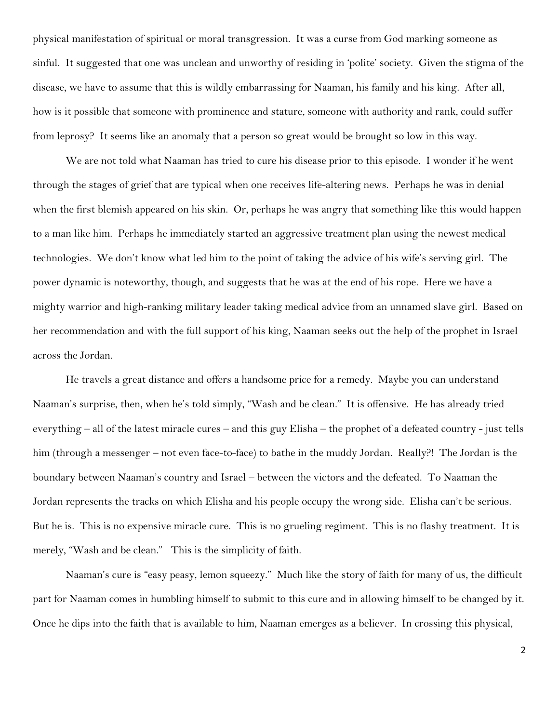physical manifestation of spiritual or moral transgression. It was a curse from God marking someone as sinful. It suggested that one was unclean and unworthy of residing in 'polite' society. Given the stigma of the disease, we have to assume that this is wildly embarrassing for Naaman, his family and his king. After all, how is it possible that someone with prominence and stature, someone with authority and rank, could suffer from leprosy? It seems like an anomaly that a person so great would be brought so low in this way.

We are not told what Naaman has tried to cure his disease prior to this episode. I wonder if he went through the stages of grief that are typical when one receives life-altering news. Perhaps he was in denial when the first blemish appeared on his skin. Or, perhaps he was angry that something like this would happen to a man like him. Perhaps he immediately started an aggressive treatment plan using the newest medical technologies. We don't know what led him to the point of taking the advice of his wife's serving girl. The power dynamic is noteworthy, though, and suggests that he was at the end of his rope. Here we have a mighty warrior and high-ranking military leader taking medical advice from an unnamed slave girl. Based on her recommendation and with the full support of his king, Naaman seeks out the help of the prophet in Israel across the Jordan.

He travels a great distance and offers a handsome price for a remedy. Maybe you can understand Naaman's surprise, then, when he's told simply, "Wash and be clean." It is offensive. He has already tried everything – all of the latest miracle cures – and this guy Elisha – the prophet of a defeated country - just tells him (through a messenger – not even face-to-face) to bathe in the muddy Jordan. Really?! The Jordan is the boundary between Naaman's country and Israel – between the victors and the defeated. To Naaman the Jordan represents the tracks on which Elisha and his people occupy the wrong side. Elisha can't be serious. But he is. This is no expensive miracle cure. This is no grueling regiment. This is no flashy treatment. It is merely, "Wash and be clean." This is the simplicity of faith.

Naaman's cure is "easy peasy, lemon squeezy." Much like the story of faith for many of us, the difficult part for Naaman comes in humbling himself to submit to this cure and in allowing himself to be changed by it. Once he dips into the faith that is available to him, Naaman emerges as a believer. In crossing this physical,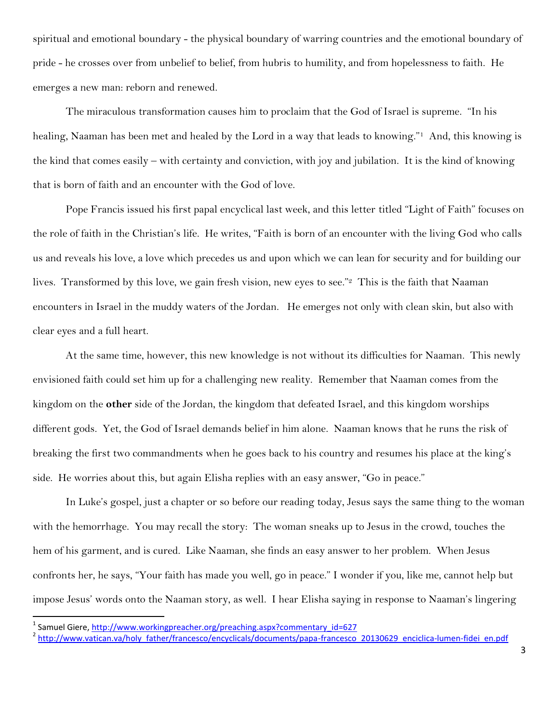spiritual and emotional boundary - the physical boundary of warring countries and the emotional boundary of pride - he crosses over from unbelief to belief, from hubris to humility, and from hopelessness to faith. He emerges a new man: reborn and renewed.

The miraculous transformation causes him to proclaim that the God of Israel is supreme. "In his healing, Naaman has been met and healed by the Lord in a way that leads to knowing."<sup>1</sup> And, this knowing is the kind that comes easily – with certainty and conviction, with joy and jubilation. It is the kind of knowing that is born of faith and an encounter with the God of love.

Pope Francis issued his first papal encyclical last week, and this letter titled "Light of Faith" focuses on the role of faith in the Christian's life. He writes, "Faith is born of an encounter with the living God who calls us and reveals his love, a love which precedes us and upon which we can lean for security and for building our lives. Transformed by this love, we gain fresh vision, new eyes to see."<sup>2</sup> This is the faith that Naaman encounters in Israel in the muddy waters of the Jordan. He emerges not only with clean skin, but also with clear eyes and a full heart.

At the same time, however, this new knowledge is not without its difficulties for Naaman. This newly envisioned faith could set him up for a challenging new reality. Remember that Naaman comes from the kingdom on the **other** side of the Jordan, the kingdom that defeated Israel, and this kingdom worships different gods. Yet, the God of Israel demands belief in him alone. Naaman knows that he runs the risk of breaking the first two commandments when he goes back to his country and resumes his place at the king's side. He worries about this, but again Elisha replies with an easy answer, "Go in peace."

In Luke's gospel, just a chapter or so before our reading today, Jesus says the same thing to the woman with the hemorrhage. You may recall the story: The woman sneaks up to Jesus in the crowd, touches the hem of his garment, and is cured. Like Naaman, she finds an easy answer to her problem. When Jesus confronts her, he says, "Your faith has made you well, go in peace." I wonder if you, like me, cannot help but impose Jesus' words onto the Naaman story, as well. I hear Elisha saying in response to Naaman's lingering

 $\overline{\phantom{a}}$ 

<sup>&</sup>lt;sup>1</sup> Samuel Giere[, http://www.workingpreacher.org/preaching.aspx?commentary\\_id=627](http://www.workingpreacher.org/preaching.aspx?commentary_id=627)

<sup>&</sup>lt;sup>2</sup> http://www.vatican.va/holy father/francesco/encyclicals/documents/papa-francesco 20130629 enciclica-lumen-fidei en.pdf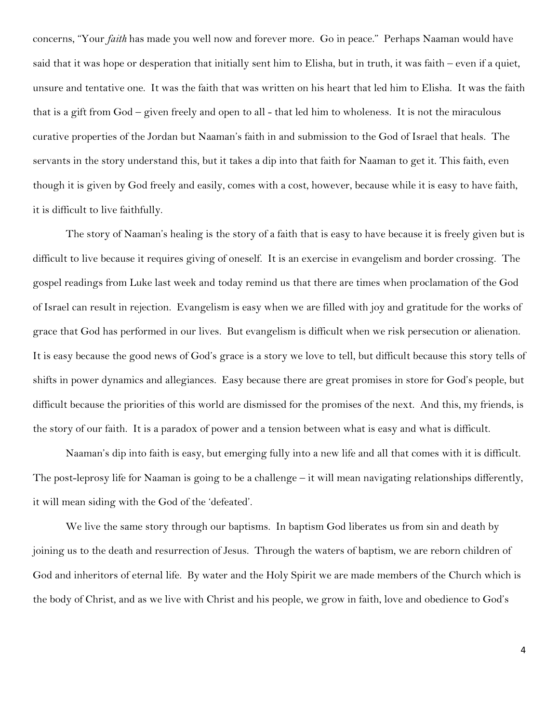concerns, "Your *faith* has made you well now and forever more. Go in peace." Perhaps Naaman would have said that it was hope or desperation that initially sent him to Elisha, but in truth, it was faith – even if a quiet, unsure and tentative one. It was the faith that was written on his heart that led him to Elisha. It was the faith that is a gift from God – given freely and open to all - that led him to wholeness. It is not the miraculous curative properties of the Jordan but Naaman's faith in and submission to the God of Israel that heals. The servants in the story understand this, but it takes a dip into that faith for Naaman to get it. This faith, even though it is given by God freely and easily, comes with a cost, however, because while it is easy to have faith, it is difficult to live faithfully.

The story of Naaman's healing is the story of a faith that is easy to have because it is freely given but is difficult to live because it requires giving of oneself. It is an exercise in evangelism and border crossing. The gospel readings from Luke last week and today remind us that there are times when proclamation of the God of Israel can result in rejection. Evangelism is easy when we are filled with joy and gratitude for the works of grace that God has performed in our lives. But evangelism is difficult when we risk persecution or alienation. It is easy because the good news of God's grace is a story we love to tell, but difficult because this story tells of shifts in power dynamics and allegiances. Easy because there are great promises in store for God's people, but difficult because the priorities of this world are dismissed for the promises of the next. And this, my friends, is the story of our faith. It is a paradox of power and a tension between what is easy and what is difficult.

Naaman's dip into faith is easy, but emerging fully into a new life and all that comes with it is difficult. The post-leprosy life for Naaman is going to be a challenge – it will mean navigating relationships differently, it will mean siding with the God of the 'defeated'.

We live the same story through our baptisms. In baptism God liberates us from sin and death by joining us to the death and resurrection of Jesus. Through the waters of baptism, we are reborn children of God and inheritors of eternal life. By water and the Holy Spirit we are made members of the Church which is the body of Christ, and as we live with Christ and his people, we grow in faith, love and obedience to God's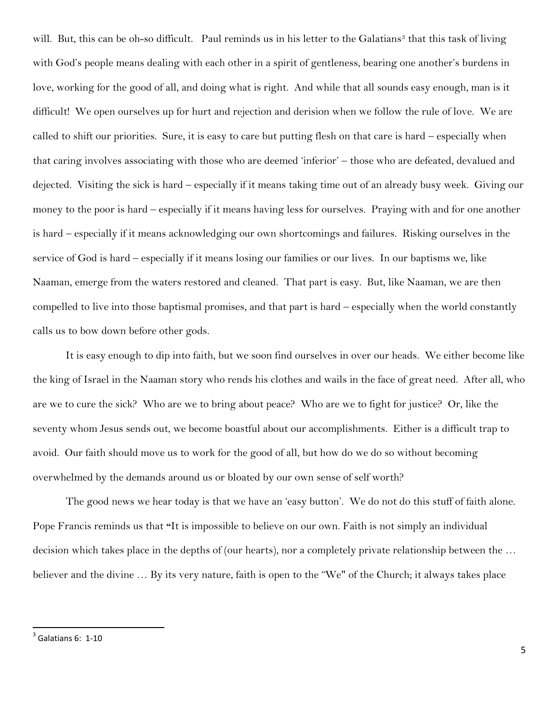will. But, this can be oh-so difficult. Paul reminds us in his letter to the Galatians<sup>3</sup> that this task of living with God's people means dealing with each other in a spirit of gentleness, bearing one another's burdens in love, working for the good of all, and doing what is right. And while that all sounds easy enough, man is it difficult! We open ourselves up for hurt and rejection and derision when we follow the rule of love. We are called to shift our priorities. Sure, it is easy to care but putting flesh on that care is hard – especially when that caring involves associating with those who are deemed 'inferior' – those who are defeated, devalued and dejected. Visiting the sick is hard – especially if it means taking time out of an already busy week. Giving our money to the poor is hard – especially if it means having less for ourselves. Praying with and for one another is hard – especially if it means acknowledging our own shortcomings and failures. Risking ourselves in the service of God is hard – especially if it means losing our families or our lives. In our baptisms we, like Naaman, emerge from the waters restored and cleaned. That part is easy. But, like Naaman, we are then compelled to live into those baptismal promises, and that part is hard – especially when the world constantly calls us to bow down before other gods.

It is easy enough to dip into faith, but we soon find ourselves in over our heads. We either become like the king of Israel in the Naaman story who rends his clothes and wails in the face of great need. After all, who are we to cure the sick? Who are we to bring about peace? Who are we to fight for justice? Or, like the seventy whom Jesus sends out, we become boastful about our accomplishments. Either is a difficult trap to avoid. Our faith should move us to work for the good of all, but how do we do so without becoming overwhelmed by the demands around us or bloated by our own sense of self worth?

The good news we hear today is that we have an 'easy button'. We do not do this stuff of faith alone. Pope Francis reminds us that **"**It is impossible to believe on our own. Faith is not simply an individual decision which takes place in the depths of (our hearts), nor a completely private relationship between the … believer and the divine … By its very nature, faith is open to the "We" of the Church; it always takes place

 3 Galatians 6: 1-10